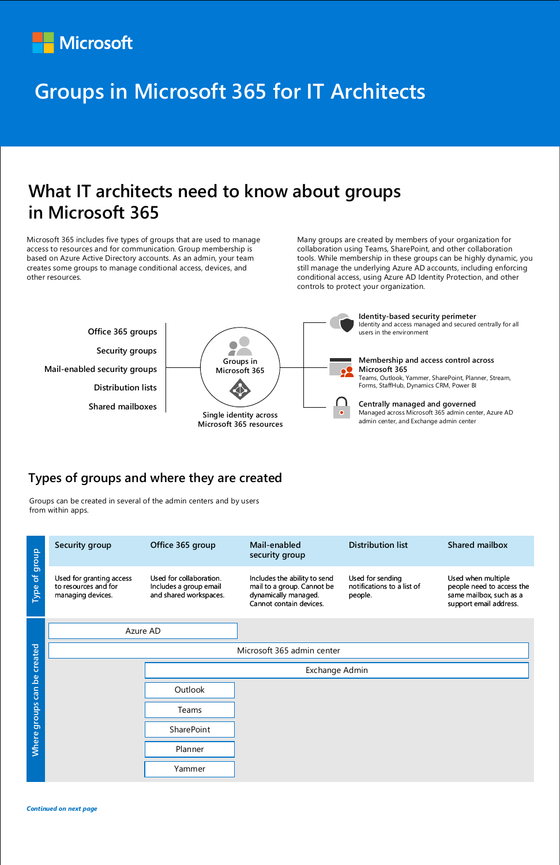## **What IT architects need to know about groups in Microsoft 365**

#### **Types of groups and where they are created**

*Continued on next page*



Microsoft 365 includes five types of groups that are used to manage access to resources and for communication. Group membership is based on Azure Active Directory accounts. As an admin, your team creates some groups to manage conditional access, devices, and other resources.

Many groups are created by members of your organization for collaboration using Teams, SharePoint, and other collaboration tools. While membership in these groups can be highly dynamic, you still manage the underlying Azure AD accounts, including enforcing conditional access, using Azure AD Identity Protection, and other controls to protect your organization.

| group<br>$\overline{\sigma}$<br>Type | Security group                                                        | Office 365 group                                                            | Mail-enabled<br>security group                                                                                | <b>Distribution list</b>                                  | <b>Shared mailbox</b>                                                                                |
|--------------------------------------|-----------------------------------------------------------------------|-----------------------------------------------------------------------------|---------------------------------------------------------------------------------------------------------------|-----------------------------------------------------------|------------------------------------------------------------------------------------------------------|
|                                      | Used for granting access<br>to resources and for<br>managing devices. | Used for collaboration.<br>Includes a group email<br>and shared workspaces. | Includes the ability to send<br>mail to a group. Cannot be<br>dynamically managed.<br>Cannot contain devices. | Used for sending<br>notifications to a list of<br>people. | Used when multiple<br>people need to access the<br>same mailbox, such as a<br>support email address. |
|                                      | Azure AD                                                              |                                                                             |                                                                                                               |                                                           |                                                                                                      |

| created      | Microsoft 365 admin center |  |  |  |  |
|--------------|----------------------------|--|--|--|--|
| $\mathbf{e}$ | Exchange Admin             |  |  |  |  |
| can          | Outlook                    |  |  |  |  |
| groups       | Teams                      |  |  |  |  |
|              | SharePoint                 |  |  |  |  |
| <b>Where</b> | Planner                    |  |  |  |  |
|              | Yammer                     |  |  |  |  |

Groups can be created in several of the admin centers and by users from within apps.



# **Groups in Microsoft 365 for IT Architects**